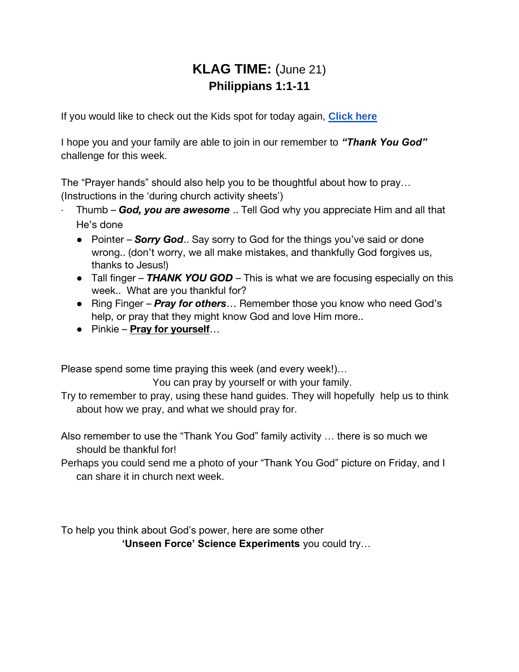## **KLAG TIME:** (June 21) **Philippians 1:1-11**

If you would like to check out the Kids spot for today again, **[Click here](https://youtu.be/imiu4-7sVhs)**

I hope you and your family are able to join in our remember to *"Thank You God"* challenge for this week.

The "Prayer hands" should also help you to be thoughtful about how to pray… (Instructions in the 'during church activity sheets')

- · Thumb *God, you are awesome* .. Tell God why you appreciate Him and all that He's done
	- Pointer *Sorry God.*. Say sorry to God for the things you've said or done wrong.. (don't worry, we all make mistakes, and thankfully God forgives us, thanks to Jesus!)
	- Tall finger **THANK YOU GOD** This is what we are focusing especially on this week.. What are you thankful for?
	- Ring Finger *Pray for others*… Remember those you know who need God's help, or pray that they might know God and love Him more..
	- Pinkie **Pray for yourself**…

Please spend some time praying this week (and every week!)…

You can pray by yourself or with your family.

Try to remember to pray, using these hand guides. They will hopefully help us to think about how we pray, and what we should pray for.

Also remember to use the "Thank You God" family activity … there is so much we should be thankful for!

Perhaps you could send me a photo of your "Thank You God" picture on Friday, and I can share it in church next week.

To help you think about God's power, here are some other **'Unseen Force' Science Experiments** you could try…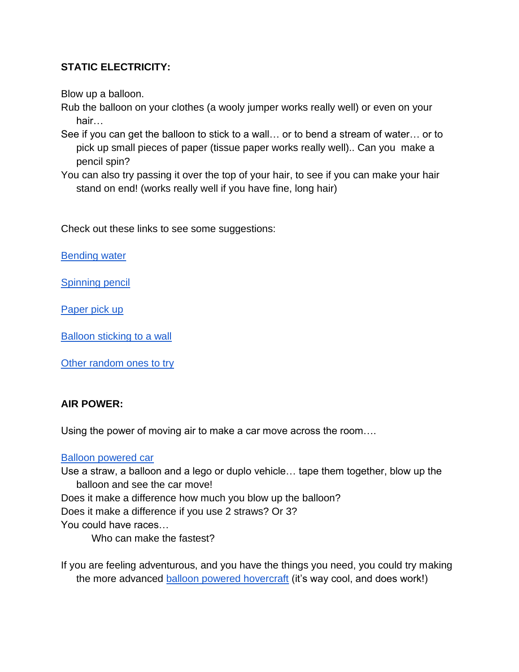## **STATIC ELECTRICITY:**

Blow up a balloon.

- Rub the balloon on your clothes (a wooly jumper works really well) or even on your hair…
- See if you can get the balloon to stick to a wall… or to bend a stream of water… or to pick up small pieces of paper (tissue paper works really well).. Can you make a pencil spin?
- You can also try passing it over the top of your hair, to see if you can make your hair stand on end! (works really well if you have fine, long hair)

Check out these links to see some suggestions:

[Bending water](https://www.youtube.com/watch?v=owla5xPR268)

[Spinning pencil](https://www.youtube.com/watch?v=7vibwnXvNww)

[Paper pick up](https://www.youtube.com/watch?v=jLRqUphpvMc) 

[Balloon sticking to a wall](https://www.youtube.com/watch?v=5TAIUCYMlIQ&t=58s)

[Other random ones to try](https://www.youtube.com/watch?v=ViZNgU-Yt-Y&t=61s)

## **AIR POWER:**

Using the power of moving air to make a car move across the room….

## [Balloon powered car](https://www.youtube.com/watch?v=v6Rsf89wnB4)

Use a straw, a balloon and a lego or duplo vehicle… tape them together, blow up the balloon and see the car move! Does it make a difference how much you blow up the balloon? Does it make a difference if you use 2 straws? Or 3? You could have races… Who can make the fastest?

If you are feeling adventurous, and you have the things you need, you could try making the more advanced [balloon powered hovercraft](https://www.youtube.com/watch?v=qbAuaN8wIvA) (it's way cool, and does work!)